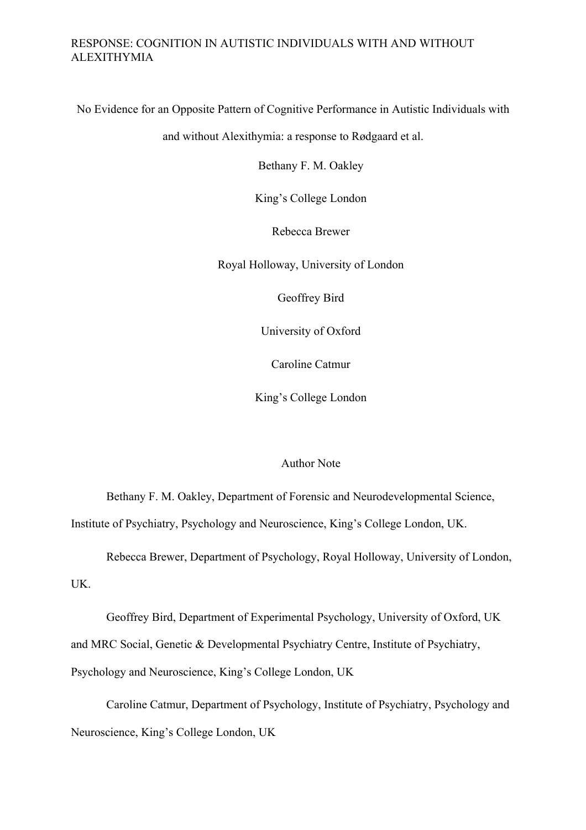No Evidence for an Opposite Pattern of Cognitive Performance in Autistic Individuals with

and without Alexithymia: a response to Rødgaard et al.

Bethany F. M. Oakley

King's College London

Rebecca Brewer

Royal Holloway, University of London

Geoffrey Bird

University of Oxford

Caroline Catmur

King's College London

#### Author Note

Bethany F. M. Oakley, Department of Forensic and Neurodevelopmental Science, Institute of Psychiatry, Psychology and Neuroscience, King's College London, UK.

Rebecca Brewer, Department of Psychology, Royal Holloway, University of London, UK.

Geoffrey Bird, Department of Experimental Psychology, University of Oxford, UK and MRC Social, Genetic & Developmental Psychiatry Centre, Institute of Psychiatry, Psychology and Neuroscience, King's College London, UK

Caroline Catmur, Department of Psychology, Institute of Psychiatry, Psychology and Neuroscience, King's College London, UK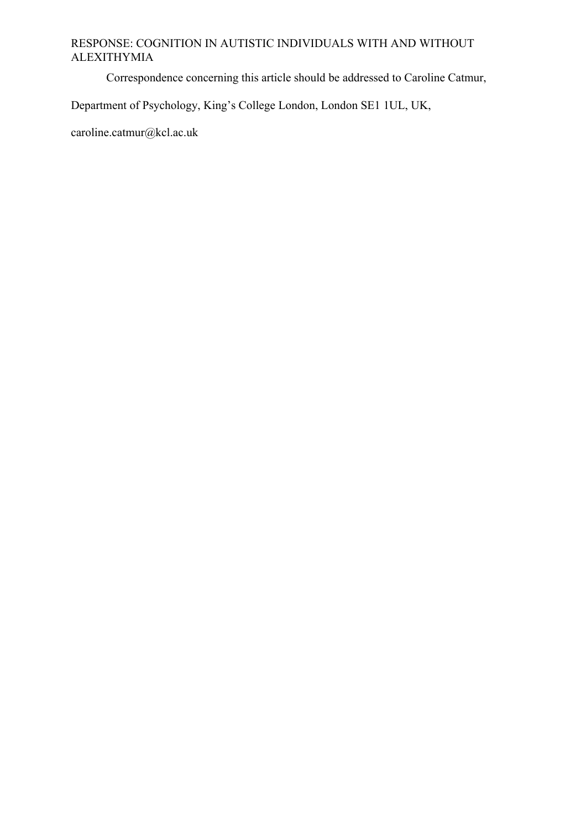Correspondence concerning this article should be addressed to Caroline Catmur,

Department of Psychology, King's College London, London SE1 1UL, UK,

caroline.catmur@kcl.ac.uk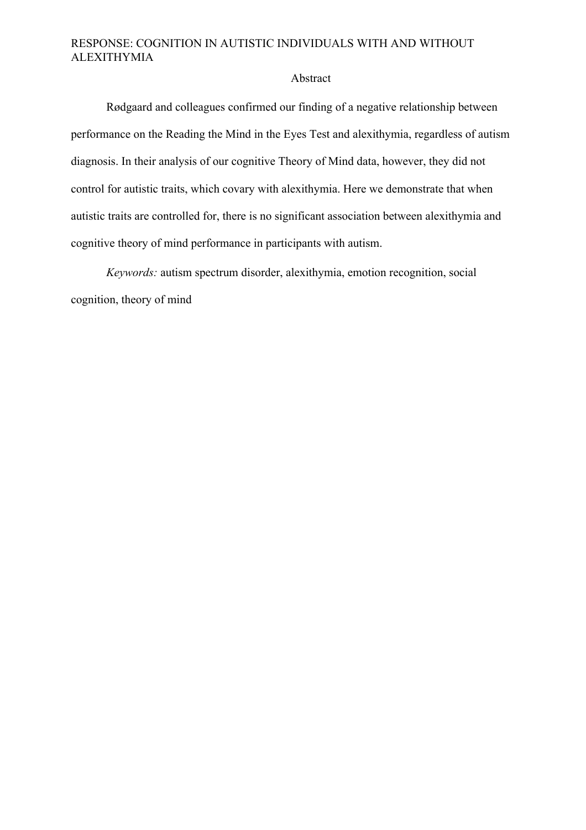#### Abstract

Rødgaard and colleagues confirmed our finding of a negative relationship between performance on the Reading the Mind in the Eyes Test and alexithymia, regardless of autism diagnosis. In their analysis of our cognitive Theory of Mind data, however, they did not control for autistic traits, which covary with alexithymia. Here we demonstrate that when autistic traits are controlled for, there is no significant association between alexithymia and cognitive theory of mind performance in participants with autism.

*Keywords:* autism spectrum disorder, alexithymia, emotion recognition, social cognition, theory of mind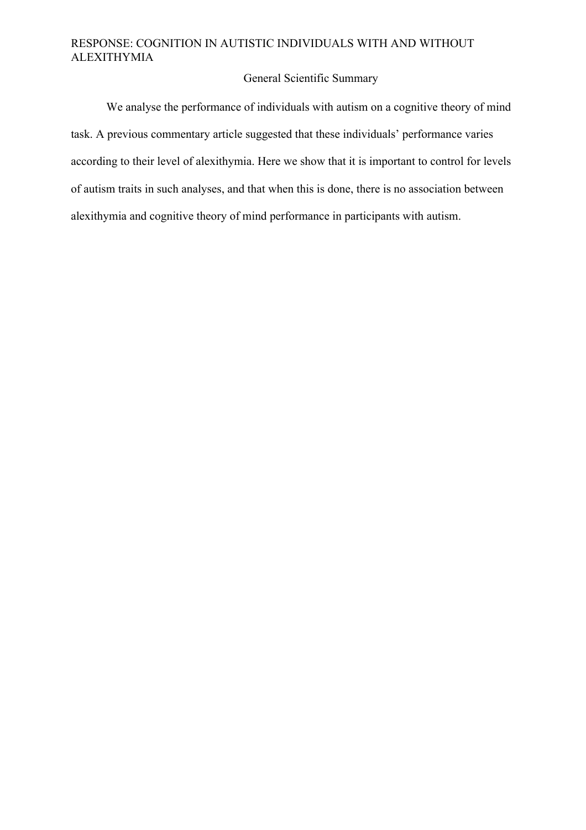## General Scientific Summary

We analyse the performance of individuals with autism on a cognitive theory of mind task. A previous commentary article suggested that these individuals' performance varies according to their level of alexithymia. Here we show that it is important to control for levels of autism traits in such analyses, and that when this is done, there is no association between alexithymia and cognitive theory of mind performance in participants with autism.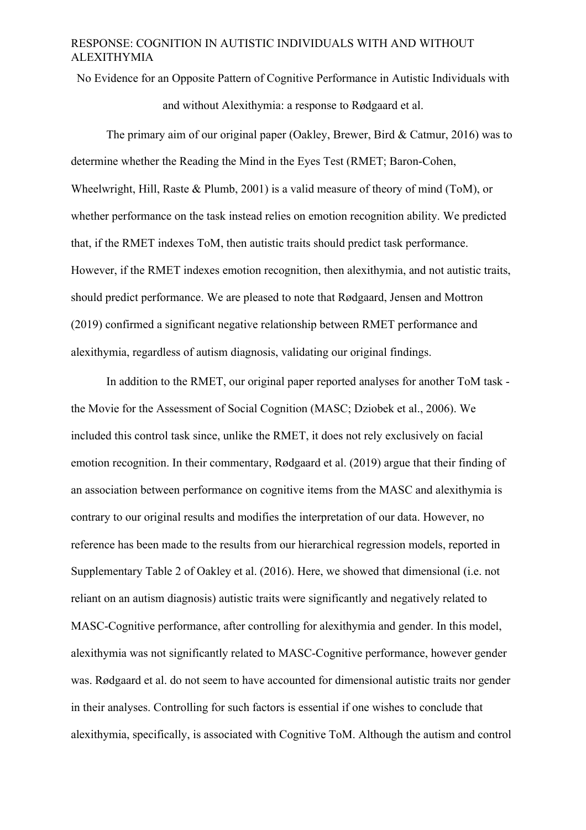No Evidence for an Opposite Pattern of Cognitive Performance in Autistic Individuals with

and without Alexithymia: a response to Rødgaard et al.

The primary aim of our original paper (Oakley, Brewer, Bird & Catmur, 2016) was to determine whether the Reading the Mind in the Eyes Test (RMET; Baron-Cohen, Wheelwright, Hill, Raste & Plumb, 2001) is a valid measure of theory of mind (ToM), or whether performance on the task instead relies on emotion recognition ability. We predicted that, if the RMET indexes ToM, then autistic traits should predict task performance. However, if the RMET indexes emotion recognition, then alexithymia, and not autistic traits, should predict performance. We are pleased to note that Rødgaard, Jensen and Mottron (2019) confirmed a significant negative relationship between RMET performance and alexithymia, regardless of autism diagnosis, validating our original findings.

In addition to the RMET, our original paper reported analyses for another ToM task the Movie for the Assessment of Social Cognition (MASC; Dziobek et al., 2006). We included this control task since, unlike the RMET, it does not rely exclusively on facial emotion recognition. In their commentary, Rødgaard et al. (2019) argue that their finding of an association between performance on cognitive items from the MASC and alexithymia is contrary to our original results and modifies the interpretation of our data. However, no reference has been made to the results from our hierarchical regression models, reported in Supplementary Table 2 of Oakley et al. (2016). Here, we showed that dimensional (i.e. not reliant on an autism diagnosis) autistic traits were significantly and negatively related to MASC-Cognitive performance, after controlling for alexithymia and gender. In this model, alexithymia was not significantly related to MASC-Cognitive performance, however gender was. Rødgaard et al. do not seem to have accounted for dimensional autistic traits nor gender in their analyses. Controlling for such factors is essential if one wishes to conclude that alexithymia, specifically, is associated with Cognitive ToM. Although the autism and control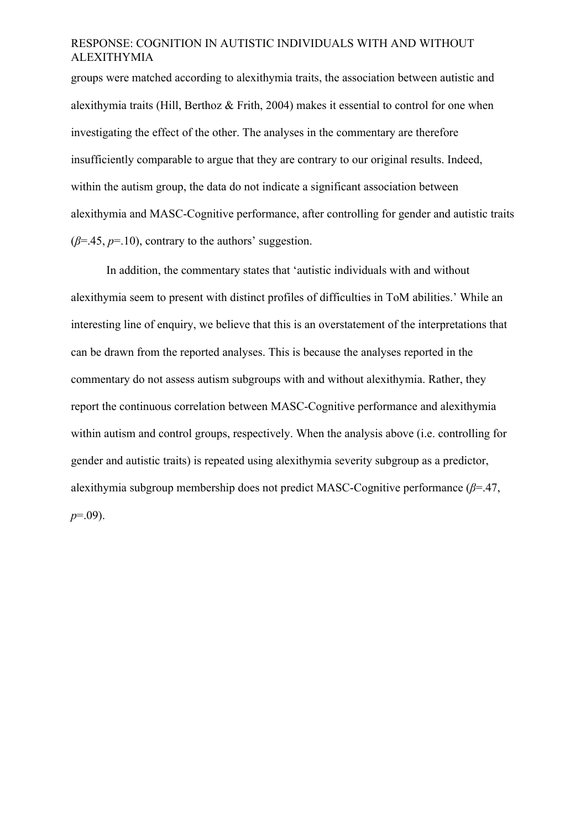groups were matched according to alexithymia traits, the association between autistic and alexithymia traits (Hill, Berthoz  $&$  Frith, 2004) makes it essential to control for one when investigating the effect of the other. The analyses in the commentary are therefore insufficiently comparable to argue that they are contrary to our original results. Indeed, within the autism group, the data do not indicate a significant association between alexithymia and MASC-Cognitive performance, after controlling for gender and autistic traits  $(\beta = .45, p = .10)$ , contrary to the authors' suggestion.

In addition, the commentary states that 'autistic individuals with and without alexithymia seem to present with distinct profiles of difficulties in ToM abilities.' While an interesting line of enquiry, we believe that this is an overstatement of the interpretations that can be drawn from the reported analyses. This is because the analyses reported in the commentary do not assess autism subgroups with and without alexithymia. Rather, they report the continuous correlation between MASC-Cognitive performance and alexithymia within autism and control groups, respectively. When the analysis above (i.e. controlling for gender and autistic traits) is repeated using alexithymia severity subgroup as a predictor, alexithymia subgroup membership does not predict MASC-Cognitive performance (*β*=.47, *p*=.09).